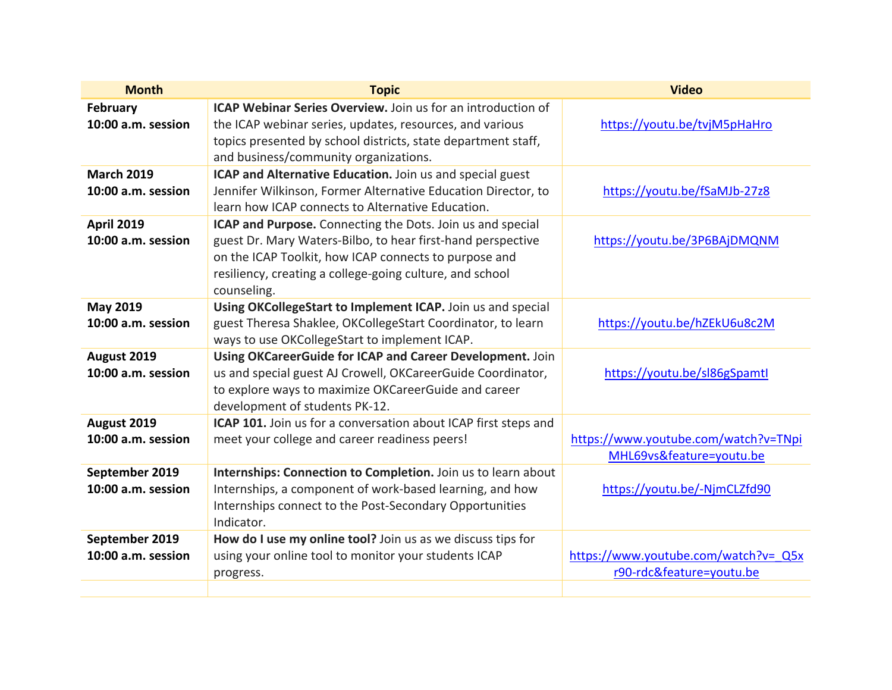| <b>Month</b>                      | <b>Topic</b>                                                        | <b>Video</b>                         |
|-----------------------------------|---------------------------------------------------------------------|--------------------------------------|
| February                          | <b>ICAP Webinar Series Overview.</b> Join us for an introduction of |                                      |
| 10:00 a.m. session                | the ICAP webinar series, updates, resources, and various            | https://youtu.be/tvjM5pHaHro         |
|                                   | topics presented by school districts, state department staff,       |                                      |
|                                   | and business/community organizations.                               |                                      |
| <b>March 2019</b>                 | ICAP and Alternative Education. Join us and special guest           |                                      |
| 10:00 a.m. session                | Jennifer Wilkinson, Former Alternative Education Director, to       | https://youtu.be/fSaMJb-27z8         |
|                                   | learn how ICAP connects to Alternative Education.                   |                                      |
| <b>April 2019</b>                 | ICAP and Purpose. Connecting the Dots. Join us and special          |                                      |
| 10:00 a.m. session                | guest Dr. Mary Waters-Bilbo, to hear first-hand perspective         | https://youtu.be/3P6BAjDMQNM         |
|                                   | on the ICAP Toolkit, how ICAP connects to purpose and               |                                      |
|                                   | resiliency, creating a college-going culture, and school            |                                      |
|                                   | counseling.                                                         |                                      |
| <b>May 2019</b>                   | Using OKCollegeStart to Implement ICAP. Join us and special         |                                      |
| 10:00 a.m. session                | guest Theresa Shaklee, OKCollegeStart Coordinator, to learn         | https://youtu.be/hZEkU6u8c2M         |
|                                   | ways to use OKCollegeStart to implement ICAP.                       |                                      |
| August 2019                       | Using OKCareerGuide for ICAP and Career Development. Join           |                                      |
| 10:00 a.m. session                | us and special guest AJ Crowell, OKCareerGuide Coordinator,         | https://youtu.be/sl86gSpamtl         |
|                                   | to explore ways to maximize OKCareerGuide and career                |                                      |
|                                   | development of students PK-12.                                      |                                      |
| August 2019<br>10:00 a.m. session | ICAP 101. Join us for a conversation about ICAP first steps and     | https://www.youtube.com/watch?v=TNpi |
|                                   | meet your college and career readiness peers!                       | MHL69vs&feature=youtu.be             |
| September 2019                    | Internships: Connection to Completion. Join us to learn about       |                                      |
| 10:00 a.m. session                | Internships, a component of work-based learning, and how            | https://youtu.be/-NjmCLZfd90         |
|                                   | Internships connect to the Post-Secondary Opportunities             |                                      |
|                                   | Indicator.                                                          |                                      |
| September 2019                    | How do I use my online tool? Join us as we discuss tips for         |                                      |
| 10:00 a.m. session                | using your online tool to monitor your students ICAP                | https://www.youtube.com/watch?v= Q5x |
|                                   | progress.                                                           | r90-rdc&feature=youtu.be             |
|                                   |                                                                     |                                      |